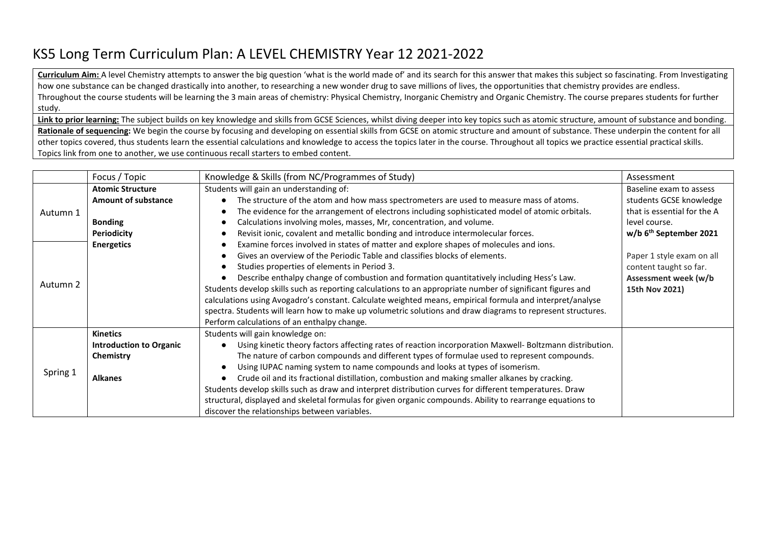## KS5 Long Term Curriculum Plan: A LEVEL CHEMISTRY Year 12 2021-2022

**Curriculum Aim:** A level Chemistry attempts to answer the big question 'what is the world made of' and its search for this answer that makes this subject so fascinating. From Investigating how one substance can be changed drastically into another, to researching a new wonder drug to save millions of lives, the opportunities that chemistry provides are endless. Throughout the course students will be learning the 3 main areas of chemistry: Physical Chemistry, Inorganic Chemistry and Organic Chemistry. The course prepares students for further study.

Link to prior learning: The subject builds on key knowledge and skills from GCSE Sciences, whilst diving deeper into key topics such as atomic structure, amount of substance and bonding. **Rationale of sequencing:** We begin the course by focusing and developing on essential skills from GCSE on atomic structure and amount of substance. These underpin the content for all other topics covered, thus students learn the essential calculations and knowledge to access the topics later in the course. Throughout all topics we practice essential practical skills.

Topics link from one to another, we use continuous recall starters to embed content.

|          | Focus / Topic                  | Knowledge & Skills (from NC/Programmes of Study)                                                            | Assessment                           |
|----------|--------------------------------|-------------------------------------------------------------------------------------------------------------|--------------------------------------|
| Autumn 1 | <b>Atomic Structure</b>        | Students will gain an understanding of:                                                                     | Baseline exam to assess              |
|          | <b>Amount of substance</b>     | The structure of the atom and how mass spectrometers are used to measure mass of atoms.                     | students GCSE knowledge              |
|          |                                | The evidence for the arrangement of electrons including sophisticated model of atomic orbitals.             | that is essential for the A          |
|          | <b>Bonding</b>                 | Calculations involving moles, masses, Mr, concentration, and volume.                                        | level course.                        |
|          | <b>Periodicity</b>             | Revisit ionic, covalent and metallic bonding and introduce intermolecular forces.                           | $w/b$ 6 <sup>th</sup> September 2021 |
|          | <b>Energetics</b>              | Examine forces involved in states of matter and explore shapes of molecules and ions.                       |                                      |
| Autumn 2 |                                | Gives an overview of the Periodic Table and classifies blocks of elements.                                  | Paper 1 style exam on all            |
|          |                                | Studies properties of elements in Period 3.                                                                 | content taught so far.               |
|          |                                | Describe enthalpy change of combustion and formation quantitatively including Hess's Law.                   | Assessment week (w/b                 |
|          |                                | Students develop skills such as reporting calculations to an appropriate number of significant figures and  | 15th Nov 2021)                       |
|          |                                | calculations using Avogadro's constant. Calculate weighted means, empirical formula and interpret/analyse   |                                      |
|          |                                | spectra. Students will learn how to make up volumetric solutions and draw diagrams to represent structures. |                                      |
|          |                                | Perform calculations of an enthalpy change.                                                                 |                                      |
| Spring 1 | <b>Kinetics</b>                | Students will gain knowledge on:                                                                            |                                      |
|          | <b>Introduction to Organic</b> | Using kinetic theory factors affecting rates of reaction incorporation Maxwell- Boltzmann distribution.     |                                      |
|          | Chemistry                      | The nature of carbon compounds and different types of formulae used to represent compounds.                 |                                      |
|          |                                | Using IUPAC naming system to name compounds and looks at types of isomerism.                                |                                      |
|          | <b>Alkanes</b>                 | Crude oil and its fractional distillation, combustion and making smaller alkanes by cracking.               |                                      |
|          |                                | Students develop skills such as draw and interpret distribution curves for different temperatures. Draw     |                                      |
|          |                                | structural, displayed and skeletal formulas for given organic compounds. Ability to rearrange equations to  |                                      |
|          |                                | discover the relationships between variables.                                                               |                                      |